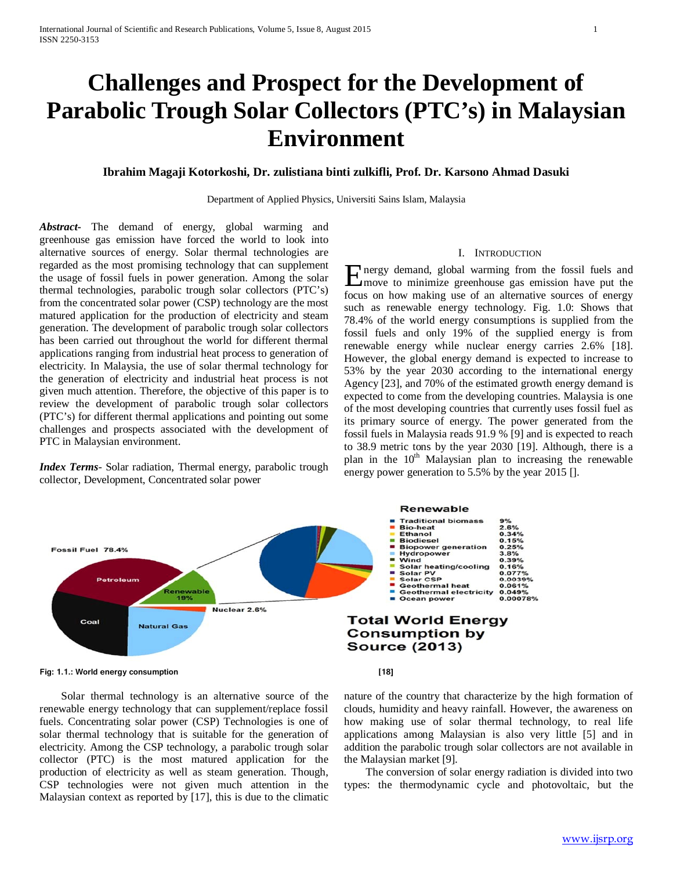# **Challenges and Prospect for the Development of Parabolic Trough Solar Collectors (PTC's) in Malaysian Environment**

# **Ibrahim Magaji Kotorkoshi, Dr. zulistiana binti zulkifli, Prof. Dr. Karsono Ahmad Dasuki**

Department of Applied Physics, Universiti Sains Islam, Malaysia

*Abstract***-** The demand of energy, global warming and greenhouse gas emission have forced the world to look into alternative sources of energy. Solar thermal technologies are regarded as the most promising technology that can supplement the usage of fossil fuels in power generation. Among the solar thermal technologies, parabolic trough solar collectors (PTC's) from the concentrated solar power (CSP) technology are the most matured application for the production of electricity and steam generation. The development of parabolic trough solar collectors has been carried out throughout the world for different thermal applications ranging from industrial heat process to generation of electricity. In Malaysia, the use of solar thermal technology for the generation of electricity and industrial heat process is not given much attention. Therefore, the objective of this paper is to review the development of parabolic trough solar collectors (PTC's) for different thermal applications and pointing out some challenges and prospects associated with the development of PTC in Malaysian environment.

*Index Terms*- Solar radiation, Thermal energy, parabolic trough collector, Development, Concentrated solar power

# I. INTRODUCTION

nergy demand, global warming from the fossil fuels and Energy demand, global warming from the fossil fuels and<br>
formove to minimize greenhouse gas emission have put the focus on how making use of an alternative sources of energy such as renewable energy technology. Fig. 1.0: Shows that 78.4% of the world energy consumptions is supplied from the fossil fuels and only 19% of the supplied energy is from renewable energy while nuclear energy carries 2.6% [18]. However, the global energy demand is expected to increase to 53% by the year 2030 according to the international energy Agency [23], and 70% of the estimated growth energy demand is expected to come from the developing countries. Malaysia is one of the most developing countries that currently uses fossil fuel as its primary source of energy. The power generated from the fossil fuels in Malaysia reads 91.9 % [9] and is expected to reach to 38.9 metric tons by the year 2030 [19]. Although, there is a plan in the  $10<sup>th</sup>$  Malaysian plan to increasing the renewable energy power generation to 5.5% by the year 2015 [].



**Fig: 1.1.: World energy consumption [18]**

 Solar thermal technology is an alternative source of the renewable energy technology that can supplement/replace fossil fuels. Concentrating solar power (CSP) Technologies is one of solar thermal technology that is suitable for the generation of electricity. Among the CSP technology, a parabolic trough solar collector (PTC) is the most matured application for the production of electricity as well as steam generation. Though, CSP technologies were not given much attention in the Malaysian context as reported by [17], this is due to the climatic

nature of the country that characterize by the high formation of clouds, humidity and heavy rainfall. However, the awareness on how making use of solar thermal technology, to real life applications among Malaysian is also very little [5] and in addition the parabolic trough solar collectors are not available in the Malaysian market [9].

 The conversion of solar energy radiation is divided into two types: the thermodynamic cycle and photovoltaic, but the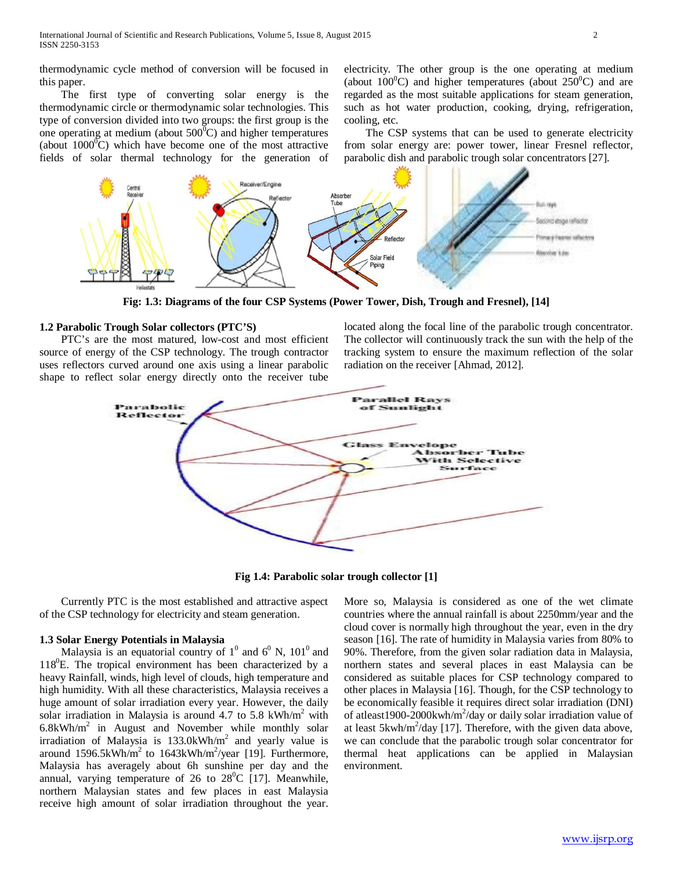thermodynamic cycle method of conversion will be focused in this paper.

 The first type of converting solar energy is the thermodynamic circle or thermodynamic solar technologies. This type of conversion divided into two groups: the first group is the one operating at medium (about  $500^{\circ}$ C) and higher temperatures (about  $1000^{\circ}$ C) which have become one of the most attractive fields of solar thermal technology for the generation of

electricity. The other group is the one operating at medium (about  $100^{\circ}$ C) and higher temperatures (about  $250^{\circ}$ C) and are regarded as the most suitable applications for steam generation, such as hot water production, cooking, drying, refrigeration, cooling, etc.

 The CSP systems that can be used to generate electricity from solar energy are: power tower, linear Fresnel reflector, parabolic dish and parabolic trough solar concentrators [27].



**Fig: 1.3: Diagrams of the four CSP Systems (Power Tower, Dish, Trough and Fresnel), [14]**

#### **1.2 Parabolic Trough Solar collectors (PTC'S)**

 PTC's are the most matured, low-cost and most efficient source of energy of the CSP technology. The trough contractor uses reflectors curved around one axis using a linear parabolic shape to reflect solar energy directly onto the receiver tube

located along the focal line of the parabolic trough concentrator. The collector will continuously track the sun with the help of the tracking system to ensure the maximum reflection of the solar radiation on the receiver [Ahmad, 2012].



**Fig 1.4: Parabolic solar trough collector [1]**

 Currently PTC is the most established and attractive aspect of the CSP technology for electricity and steam generation.

#### **1.3 Solar Energy Potentials in Malaysia**

Malaysia is an equatorial country of  $1^0$  and  $6^0$  N,  $101^0$  and 118<sup>0</sup>E. The tropical environment has been characterized by a heavy Rainfall, winds, high level of clouds, high temperature and high humidity. With all these characteristics, Malaysia receives a huge amount of solar irradiation every year. However, the daily solar irradiation in Malaysia is around 4.7 to 5.8 kWh/m<sup>2</sup> with  $6.8kWh/m<sup>2</sup>$  in August and November while monthly solar irradiation of Malaysia is  $133.0kWh/m<sup>2</sup>$  and yearly value is around  $1596.5kWh/m<sup>2</sup>$  to  $1643kWh/m<sup>2</sup>/year$  [19]. Furthermore, Malaysia has averagely about 6h sunshine per day and the annual, varying temperature of 26 to  $28^{\circ}$ C [17]. Meanwhile, northern Malaysian states and few places in east Malaysia receive high amount of solar irradiation throughout the year.

More so, Malaysia is considered as one of the wet climate countries where the annual rainfall is about 2250mm/year and the cloud cover is normally high throughout the year, even in the dry season [16]. The rate of humidity in Malaysia varies from 80% to 90%. Therefore, from the given solar radiation data in Malaysia, northern states and several places in east Malaysia can be considered as suitable places for CSP technology compared to other places in Malaysia [16]. Though, for the CSP technology to be economically feasible it requires direct solar irradiation (DNI) of atleast1900-2000kwh/m<sup>2</sup>/day or daily solar irradiation value of at least  $5kwh/m^2$ /day [17]. Therefore, with the given data above, we can conclude that the parabolic trough solar concentrator for thermal heat applications can be applied in Malaysian environment.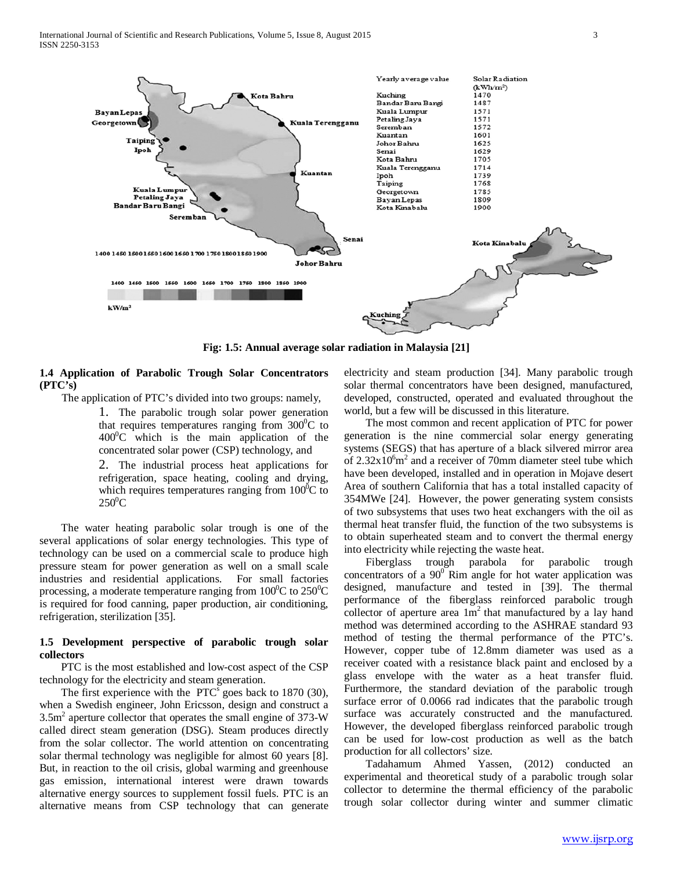

**Fig: 1.5: Annual average solar radiation in Malaysia [21]**

### **1.4 Application of Parabolic Trough Solar Concentrators (PTC's)**

The application of PTC's divided into two groups: namely,

1. The parabolic trough solar power generation that requires temperatures ranging from  $300^{\circ}$ C to  $400^{\circ}$ C which is the main application of the concentrated solar power (CSP) technology, and

2. The industrial process heat applications for refrigeration, space heating, cooling and drying, which requires temperatures ranging from  $100^{\circ}$ C to  $250^0$ C

 The water heating parabolic solar trough is one of the several applications of solar energy technologies. This type of technology can be used on a commercial scale to produce high pressure steam for power generation as well on a small scale industries and residential applications. For small factories processing, a moderate temperature ranging from  $100^{\circ}$ C to  $250^{\circ}$ C is required for food canning, paper production, air conditioning, refrigeration, sterilization [35].

# **1.5 Development perspective of parabolic trough solar collectors**

 PTC is the most established and low-cost aspect of the CSP technology for the electricity and steam generation.

The first experience with the  $\text{PTC}^s$  goes back to 1870 (30), when a Swedish engineer, John Ericsson, design and construct a 3.5m2 aperture collector that operates the small engine of 373-W called direct steam generation (DSG). Steam produces directly from the solar collector. The world attention on concentrating solar thermal technology was negligible for almost 60 years [8]. But, in reaction to the oil crisis, global warming and greenhouse gas emission, international interest were drawn towards alternative energy sources to supplement fossil fuels. PTC is an alternative means from CSP technology that can generate

electricity and steam production [34]. Many parabolic trough solar thermal concentrators have been designed, manufactured, developed, constructed, operated and evaluated throughout the world, but a few will be discussed in this literature.

 The most common and recent application of PTC for power generation is the nine commercial solar energy generating systems (SEGS) that has aperture of a black silvered mirror area of  $2.32x10<sup>6</sup>m<sup>2</sup>$  and a receiver of 70mm diameter steel tube which have been developed, installed and in operation in Mojave desert Area of southern California that has a total installed capacity of 354MWe [24]. However, the power generating system consists of two subsystems that uses two heat exchangers with the oil as thermal heat transfer fluid, the function of the two subsystems is to obtain superheated steam and to convert the thermal energy into electricity while rejecting the waste heat.

 Fiberglass trough parabola for parabolic trough concentrators of a  $90^{\circ}$  Rim angle for hot water application was designed, manufacture and tested in [39]. The thermal performance of the fiberglass reinforced parabolic trough collector of aperture area  $1m<sup>2</sup>$  that manufactured by a lay hand method was determined according to the ASHRAE standard 93 method of testing the thermal performance of the PTC's. However, copper tube of 12.8mm diameter was used as a receiver coated with a resistance black paint and enclosed by a glass envelope with the water as a heat transfer fluid. Furthermore, the standard deviation of the parabolic trough surface error of 0.0066 rad indicates that the parabolic trough surface was accurately constructed and the manufactured. However, the developed fiberglass reinforced parabolic trough can be used for low-cost production as well as the batch production for all collectors' size.

 Tadahamum Ahmed Yassen, (2012) conducted an experimental and theoretical study of a parabolic trough solar collector to determine the thermal efficiency of the parabolic trough solar collector during winter and summer climatic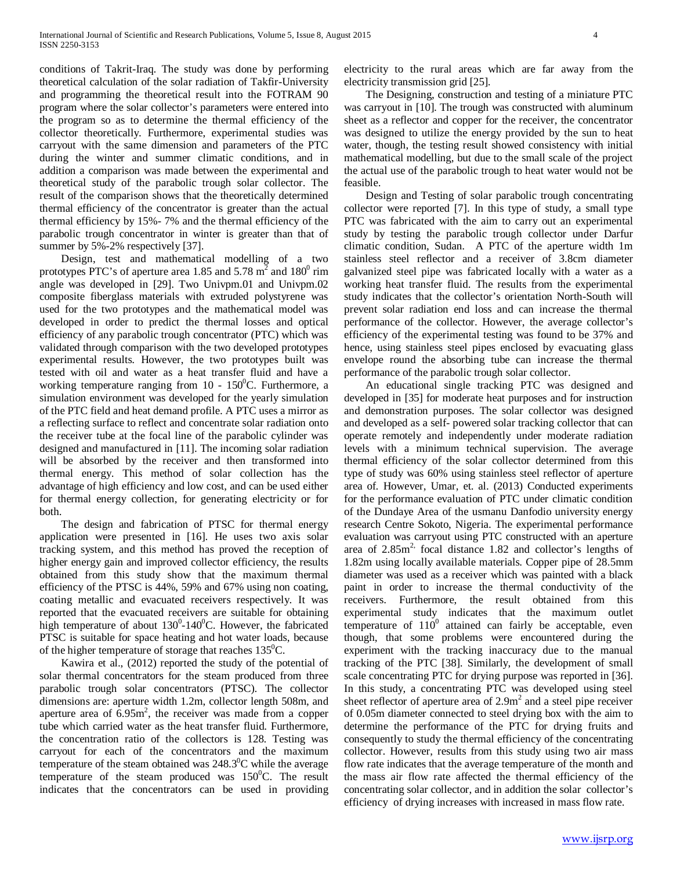conditions of Takrit-Iraq. The study was done by performing theoretical calculation of the solar radiation of Takfir-University and programming the theoretical result into the FOTRAM 90 program where the solar collector's parameters were entered into the program so as to determine the thermal efficiency of the collector theoretically. Furthermore, experimental studies was carryout with the same dimension and parameters of the PTC during the winter and summer climatic conditions, and in addition a comparison was made between the experimental and theoretical study of the parabolic trough solar collector. The result of the comparison shows that the theoretically determined thermal efficiency of the concentrator is greater than the actual thermal efficiency by 15%- 7% and the thermal efficiency of the parabolic trough concentrator in winter is greater than that of summer by 5%-2% respectively [37].

 Design, test and mathematical modelling of a two prototypes PTC's of aperture area 1.85 and 5.78  $m<sup>2</sup>$  and 180<sup>0</sup> rim angle was developed in [29]. Two Univpm.01 and Univpm.02 composite fiberglass materials with extruded polystyrene was used for the two prototypes and the mathematical model was developed in order to predict the thermal losses and optical efficiency of any parabolic trough concentrator (PTC) which was validated through comparison with the two developed prototypes experimental results. However, the two prototypes built was tested with oil and water as a heat transfer fluid and have a working temperature ranging from  $10 - 150^{\circ}$ C. Furthermore, a simulation environment was developed for the yearly simulation of the PTC field and heat demand profile. A PTC uses a mirror as a reflecting surface to reflect and concentrate solar radiation onto the receiver tube at the focal line of the parabolic cylinder was designed and manufactured in [11]. The incoming solar radiation will be absorbed by the receiver and then transformed into thermal energy. This method of solar collection has the advantage of high efficiency and low cost, and can be used either for thermal energy collection, for generating electricity or for both.

 The design and fabrication of PTSC for thermal energy application were presented in [16]. He uses two axis solar tracking system, and this method has proved the reception of higher energy gain and improved collector efficiency, the results obtained from this study show that the maximum thermal efficiency of the PTSC is 44%, 59% and 67% using non coating, coating metallic and evacuated receivers respectively. It was reported that the evacuated receivers are suitable for obtaining high temperature of about  $130^0$ -140<sup>0</sup>C. However, the fabricated PTSC is suitable for space heating and hot water loads, because of the higher temperature of storage that reaches  $135^0C$ .

 Kawira et al., (2012) reported the study of the potential of solar thermal concentrators for the steam produced from three parabolic trough solar concentrators (PTSC). The collector dimensions are: aperture width 1.2m, collector length 508m, and aperture area of  $6.95m^2$ , the receiver was made from a copper tube which carried water as the heat transfer fluid. Furthermore, the concentration ratio of the collectors is 128. Testing was carryout for each of the concentrators and the maximum temperature of the steam obtained was  $248.3^{\circ}$ C while the average temperature of the steam produced was  $150^{\circ}$ C. The result indicates that the concentrators can be used in providing

electricity to the rural areas which are far away from the electricity transmission grid [25].

 The Designing, construction and testing of a miniature PTC was carryout in [10]. The trough was constructed with aluminum sheet as a reflector and copper for the receiver, the concentrator was designed to utilize the energy provided by the sun to heat water, though, the testing result showed consistency with initial mathematical modelling, but due to the small scale of the project the actual use of the parabolic trough to heat water would not be feasible.

 Design and Testing of solar parabolic trough concentrating collector were reported [7]. In this type of study, a small type PTC was fabricated with the aim to carry out an experimental study by testing the parabolic trough collector under Darfur climatic condition, Sudan. A PTC of the aperture width 1m stainless steel reflector and a receiver of 3.8cm diameter galvanized steel pipe was fabricated locally with a water as a working heat transfer fluid. The results from the experimental study indicates that the collector's orientation North-South will prevent solar radiation end loss and can increase the thermal performance of the collector. However, the average collector's efficiency of the experimental testing was found to be 37% and hence, using stainless steel pipes enclosed by evacuating glass envelope round the absorbing tube can increase the thermal performance of the parabolic trough solar collector.

 An educational single tracking PTC was designed and developed in [35] for moderate heat purposes and for instruction and demonstration purposes. The solar collector was designed and developed as a self- powered solar tracking collector that can operate remotely and independently under moderate radiation levels with a minimum technical supervision. The average thermal efficiency of the solar collector determined from this type of study was 60% using stainless steel reflector of aperture area of. However, Umar, et. al. (2013) Conducted experiments for the performance evaluation of PTC under climatic condition of the Dundaye Area of the usmanu Danfodio university energy research Centre Sokoto, Nigeria. The experimental performance evaluation was carryout using PTC constructed with an aperture area of  $2.85m^2$ , focal distance 1.82 and collector's lengths of 1.82m using locally available materials. Copper pipe of 28.5mm diameter was used as a receiver which was painted with a black paint in order to increase the thermal conductivity of the receivers. Furthermore, the result obtained from this experimental study indicates that the maximum outlet temperature of  $110^0$  attained can fairly be acceptable, even though, that some problems were encountered during the experiment with the tracking inaccuracy due to the manual tracking of the PTC [38]. Similarly, the development of small scale concentrating PTC for drying purpose was reported in [36]. In this study, a concentrating PTC was developed using steel sheet reflector of aperture area of  $2.9m<sup>2</sup>$  and a steel pipe receiver of 0.05m diameter connected to steel drying box with the aim to determine the performance of the PTC for drying fruits and consequently to study the thermal efficiency of the concentrating collector. However, results from this study using two air mass flow rate indicates that the average temperature of the month and the mass air flow rate affected the thermal efficiency of the concentrating solar collector, and in addition the solar collector's efficiency of drying increases with increased in mass flow rate.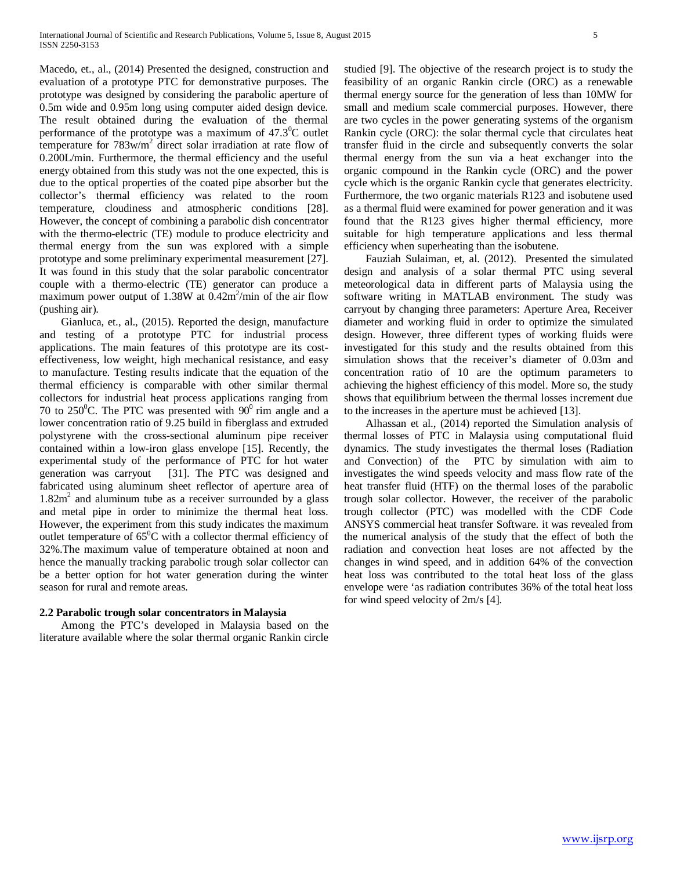Macedo, et., al., (2014) Presented the designed, construction and evaluation of a prototype PTC for demonstrative purposes. The prototype was designed by considering the parabolic aperture of 0.5m wide and 0.95m long using computer aided design device. The result obtained during the evaluation of the thermal performance of the prototype was a maximum of  $47.3^{\circ}$ C outlet temperature for 783w/m2 direct solar irradiation at rate flow of 0.200L/min. Furthermore, the thermal efficiency and the useful energy obtained from this study was not the one expected, this is due to the optical properties of the coated pipe absorber but the collector's thermal efficiency was related to the room temperature, cloudiness and atmospheric conditions [28]. However, the concept of combining a parabolic dish concentrator with the thermo-electric (TE) module to produce electricity and thermal energy from the sun was explored with a simple prototype and some preliminary experimental measurement [27]. It was found in this study that the solar parabolic concentrator couple with a thermo-electric (TE) generator can produce a maximum power output of  $1.38W$  at  $0.42m^2/min$  of the air flow (pushing air).

 Gianluca, et., al., (2015). Reported the design, manufacture and testing of a prototype PTC for industrial process applications. The main features of this prototype are its costeffectiveness, low weight, high mechanical resistance, and easy to manufacture. Testing results indicate that the equation of the thermal efficiency is comparable with other similar thermal collectors for industrial heat process applications ranging from 70 to 250 $^0$ C. The PTC was presented with  $90^0$  rim angle and a lower concentration ratio of 9.25 build in fiberglass and extruded polystyrene with the cross-sectional aluminum pipe receiver contained within a low-iron glass envelope [15]. Recently, the experimental study of the performance of PTC for hot water generation was carryout [31]. The PTC was designed and fabricated using aluminum sheet reflector of aperture area of  $1.82m<sup>2</sup>$  and aluminum tube as a receiver surrounded by a glass and metal pipe in order to minimize the thermal heat loss. However, the experiment from this study indicates the maximum outlet temperature of  $65^{\circ}$ C with a collector thermal efficiency of 32%.The maximum value of temperature obtained at noon and hence the manually tracking parabolic trough solar collector can be a better option for hot water generation during the winter season for rural and remote areas.

# **2.2 Parabolic trough solar concentrators in Malaysia**

 Among the PTC's developed in Malaysia based on the literature available where the solar thermal organic Rankin circle studied [9]. The objective of the research project is to study the feasibility of an organic Rankin circle (ORC) as a renewable thermal energy source for the generation of less than 10MW for small and medium scale commercial purposes. However, there are two cycles in the power generating systems of the organism Rankin cycle (ORC): the solar thermal cycle that circulates heat transfer fluid in the circle and subsequently converts the solar thermal energy from the sun via a heat exchanger into the organic compound in the Rankin cycle (ORC) and the power cycle which is the organic Rankin cycle that generates electricity. Furthermore, the two organic materials R123 and isobutene used as a thermal fluid were examined for power generation and it was found that the R123 gives higher thermal efficiency, more suitable for high temperature applications and less thermal efficiency when superheating than the isobutene.

 Fauziah Sulaiman, et, al. (2012). Presented the simulated design and analysis of a solar thermal PTC using several meteorological data in different parts of Malaysia using the software writing in MATLAB environment. The study was carryout by changing three parameters: Aperture Area, Receiver diameter and working fluid in order to optimize the simulated design. However, three different types of working fluids were investigated for this study and the results obtained from this simulation shows that the receiver's diameter of 0.03m and concentration ratio of 10 are the optimum parameters to achieving the highest efficiency of this model. More so, the study shows that equilibrium between the thermal losses increment due to the increases in the aperture must be achieved [13].

 Alhassan et al., (2014) reported the Simulation analysis of thermal losses of PTC in Malaysia using computational fluid dynamics. The study investigates the thermal loses (Radiation and Convection) of the PTC by simulation with aim to investigates the wind speeds velocity and mass flow rate of the heat transfer fluid (HTF) on the thermal loses of the parabolic trough solar collector. However, the receiver of the parabolic trough collector (PTC) was modelled with the CDF Code ANSYS commercial heat transfer Software. it was revealed from the numerical analysis of the study that the effect of both the radiation and convection heat loses are not affected by the changes in wind speed, and in addition 64% of the convection heat loss was contributed to the total heat loss of the glass envelope were 'as radiation contributes 36% of the total heat loss for wind speed velocity of 2m/s [4].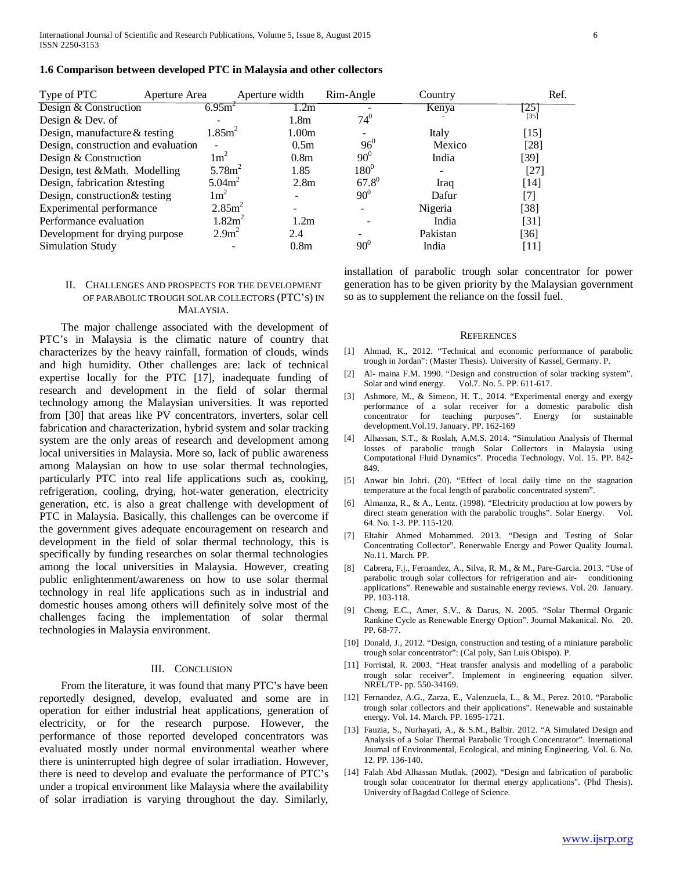| Type of PTC                         | Aperture Area      | Aperture width     |                   | Rim-Angle  | Country  | Ref.               |
|-------------------------------------|--------------------|--------------------|-------------------|------------|----------|--------------------|
| Design & Construction               | 6.95m <sup>2</sup> |                    | 1.2m              |            | Kenya    | $\left 25\right $  |
| Design & Dev. of                    |                    |                    | 1.8 <sub>m</sub>  | $74^{0}$   |          | $[35]$             |
| Design, manufacture & testing       | 1.85m <sup>2</sup> |                    | 1.00 <sub>m</sub> |            | Italy    | $[15]$             |
| Design, construction and evaluation |                    |                    | 0.5 <sub>m</sub>  | $96^{0}$   | Mexico   | $[28]$             |
| Design & Construction               | $1 \text{m}^2$     |                    | 0.8 <sub>m</sub>  | $90^0$     | India    | [39]               |
| Design, test &Math. Modelling       |                    | 5.78m <sup>2</sup> | 1.85              | $180^0$    |          | $[27]$             |
| Design, fabrication & testing       | 5.04m <sup>2</sup> |                    | 2.8 <sub>m</sub>  | $67.8^{0}$ | Iraq     | [14]               |
| Design, construction& testing       | $1 \text{m}^2$     |                    |                   | $90^{0}$   | Dafur    | $[7]$              |
| Experimental performance            |                    | 2.85m <sup>2</sup> |                   |            | Nigeria  | $[38]$             |
| Performance evaluation              |                    | 1.82m <sup>2</sup> | 1.2m              |            | India    | $\lceil 31 \rceil$ |
| Development for drying purpose      |                    | 2.9 <sup>2</sup>   | 2.4               |            | Pakistan | [36]               |
| Simulation Study                    |                    |                    | 0.8 <sub>m</sub>  | $90^\circ$ | India    | [11]               |

#### **1.6 Comparison between developed PTC in Malaysia and other collectors**

# II. CHALLENGES AND PROSPECTS FOR THE DEVELOPMENT OF PARABOLIC TROUGH SOLAR COLLECTORS (PTC'S) IN MALAYSIA.

 The major challenge associated with the development of PTC's in Malaysia is the climatic nature of country that characterizes by the heavy rainfall, formation of clouds, winds and high humidity. Other challenges are: lack of technical expertise locally for the PTC [17], inadequate funding of research and development in the field of solar thermal technology among the Malaysian universities. It was reported from [30] that areas like PV concentrators, inverters, solar cell fabrication and characterization, hybrid system and solar tracking system are the only areas of research and development among local universities in Malaysia. More so, lack of public awareness among Malaysian on how to use solar thermal technologies, particularly PTC into real life applications such as, cooking, refrigeration, cooling, drying, hot-water generation, electricity generation, etc. is also a great challenge with development of PTC in Malaysia. Basically, this challenges can be overcome if the government gives adequate encouragement on research and development in the field of solar thermal technology, this is specifically by funding researches on solar thermal technologies among the local universities in Malaysia. However, creating public enlightenment/awareness on how to use solar thermal technology in real life applications such as in industrial and domestic houses among others will definitely solve most of the challenges facing the implementation of solar thermal technologies in Malaysia environment.

#### III. CONCLUSION

 From the literature, it was found that many PTC's have been reportedly designed, develop, evaluated and some are in operation for either industrial heat applications, generation of electricity, or for the research purpose. However, the performance of those reported developed concentrators was evaluated mostly under normal environmental weather where there is uninterrupted high degree of solar irradiation. However, there is need to develop and evaluate the performance of PTC's under a tropical environment like Malaysia where the availability of solar irradiation is varying throughout the day. Similarly, installation of parabolic trough solar concentrator for power generation has to be given priority by the Malaysian government so as to supplement the reliance on the fossil fuel.

#### **REFERENCES**

- [1] Ahmad, K., 2012. "Technical and economic performance of parabolic trough in Jordan": (Master Thesis). University of Kassel, Germany. P.
- [2] Al- maina F.M. 1990. "Design and construction of solar tracking system". Solar and wind energy. Vol.7. No. 5. PP. 611-617.
- [3] Ashmore, M., & Simeon, H. T., 2014. "Experimental energy and exergy performance of a solar receiver for a domestic parabolic dish concentrator for teaching purposes". Energy for sustainable development.Vol.19. January. PP. 162-169
- [4] Alhassan, S.T., & Roslah, A.M.S. 2014. "Simulation Analysis of Thermal losses of parabolic trough Solar Collectors in Malaysia using Computational Fluid Dynamics". Procedia Technology. Vol. 15. PP. 842- 849.
- [5] Anwar bin Johri. (20). "Effect of local daily time on the stagnation temperature at the focal length of parabolic concentrated system".
- [6] Almanza, R., & A., Lentz. (1998). "Electricity production at low powers by direct steam generation with the parabolic troughs". Solar Energy. Vol. 64. No. 1-3. PP. 115-120.
- [7] Eltahir Ahmed Mohammed. 2013. "Design and Testing of Solar Concentrating Collector". Renerwable Energy and Power Quality Journal. No.11. March. PP.
- [8] Cabrera, F.j., Fernandez, A., Silva, R. M., & M., Pare-Garcia. 2013. "Use of parabolic trough solar collectors for refrigeration and air- conditioning applications". Renewable and sustainable energy reviews. Vol. 20. January. PP. 103-118.
- [9] Cheng, E.C., Amer, S.V., & Darus, N. 2005. "Solar Thermal Organic Rankine Cycle as Renewable Energy Option". Journal Makanical. No. 20. PP. 68-77.
- [10] Donald, J., 2012. "Design, construction and testing of a miniature parabolic trough solar concentrator": (Cal poly, San Luis Obispo). P.
- [11] Forristal, R. 2003. "Heat transfer analysis and modelling of a parabolic trough solar receiver". Implement in engineering equation silver. NREL/TP- pp. 550-34169.
- [12] Fernandez, A.G., Zarza, E., Valenzuela, L., & M., Perez. 2010. "Parabolic trough solar collectors and their applications". Renewable and sustainable energy. Vol. 14. March. PP. 1695-1721.
- [13] Fauzia, S., Nurhayati, A., & S.M., Balbir. 2012. "A Simulated Design and Analysis of a Solar Thermal Parabolic Trough Concentrator". International Journal of Environmental, Ecological, and mining Engineering. Vol. 6. No. 12. PP. 136-140.
- [14] Falah Abd Alhassan Mutlak. (2002). "Design and fabrication of parabolic trough solar concentrator for thermal energy applications". (Phd Thesis). University of Bagdad College of Science.